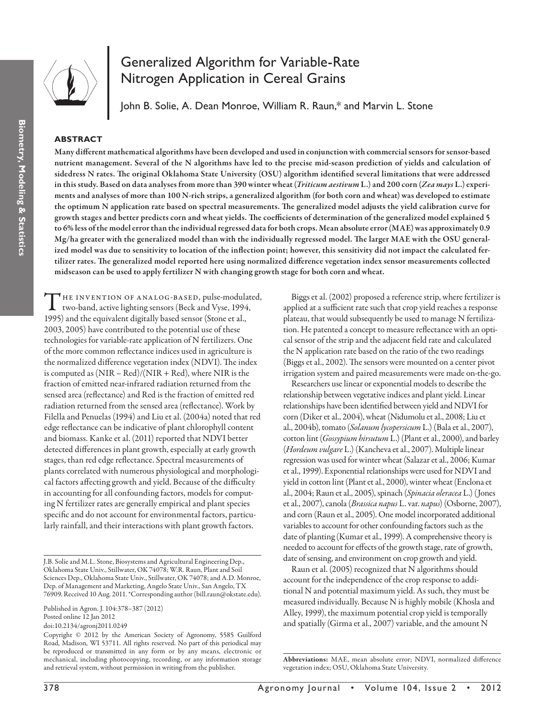

# Generalized Algorithm for Variable-Rate Nitrogen Application in Cereal Grains

John B. Solie, A. Dean Monroe, William R. Raun,\* and Marvin L. Stone

## **ABSTRACT**

Many different mathematical algorithms have been developed and used in conjunction with commercial sensors for sensor-based nutrient management. Several of the N algorithms have led to the precise mid-season prediction of yields and calculation of sidedress N rates. The original Oklahoma State University (OSU) algorithm identified several limitations that were addressed in this study. Based on data analyses from more than 390 winter wheat (*Triticum aestivum* L.) and 200 corn (*Zea mays* L.) experiments and analyses of more than 100 N-rich strips, a generalized algorithm (for both corn and wheat) was developed to estimate the optimum N application rate based on spectral measurements. The generalized model adjusts the yield calibration curve for growth stages and better predicts corn and wheat yields. The coefficients of determination of the generalized model explained 5 to 6% less of the model error than the individual regressed data for both crops. Mean absolute error (MAE) was approximately 0.9 Mg/ha greater with the generalized model than with the individually regressed model. The larger MAE with the OSU generalized model was due to sensitivity to location of the inflection point; however, this sensitivity did not impact the calculated fertilizer rates. The generalized model reported here using normalized difference vegetation index sensor measurements collected midseason can be used to apply fertilizer N with changing growth stage for both corn and wheat.

THE INVENTION OF ANALOG-BASED, pulse-modulated,<br>two-band, active lighting sensors (Beck and Vyse, 1994, 1995) and the equivalent digitally based sensor (Stone et al., 2003, 2005) have contributed to the potential use of these technologies for variable-rate application of N fertilizers. One of the more common reflectance indices used in agriculture is the normalized difference vegetation index (NDVI). The index is computed as (NIR – Red)/(NIR + Red), where NIR is the fraction of emitted near-infrared radiation returned from the sensed area (reflectance) and Red is the fraction of emitted red radiation returned from the sensed area (reflectance). Work by Filella and Penuelas (1994) and Liu et al. (2004a) noted that red edge reflectance can be indicative of plant chlorophyll content and biomass. Kanke et al. (2011) reported that NDVI better detected differences in plant growth, especially at early growth stages, than red edge reflectance. Spectral measurements of plants correlated with numerous physiological and morphological factors affecting growth and yield. Because of the difficulty in accounting for all confounding factors, models for computing N fertilizer rates are generally empirical and plant species specific and do not account for environmental factors, particularly rainfall, and their interactions with plant growth factors.

doi:10.2134/agronj2011.0249

Biggs et al. (2002) proposed a reference strip, where fertilizer is applied at a sufficient rate such that crop yield reaches a response plateau, that would subsequently be used to manage N fertilization. He patented a concept to measure reflectance with an optical sensor of the strip and the adjacent field rate and calculated the N application rate based on the ratio of the two readings (Biggs et al., 2002). The sensors were mounted on a center pivot irrigation system and paired measurements were made on-the-go.

Researchers use linear or exponential models to describe the relationship between vegetative indices and plant yield. Linear relationships have been identified between yield and NDVI for corn (Diker et al., 2004), wheat (Nidumolu et al., 2008; Liu et al., 2004b), tomato (*Solanum lycopersicum* L.) (Bala et al., 2007), cotton lint (*Gossypium hirsutum* L.) (Plant et al., 2000), and barley (*Hordeum vulgare* L.) (Kancheva et al., 2007). Multiple linear regression was used for winter wheat (Salazar et al., 2006; Kumar et al., 1999). Exponential relationships were used for NDVI and yield in cotton lint (Plant et al., 2000), winter wheat (Enclona et al., 2004; Raun et al., 2005), spinach (*Spinacia oleracea* L.) (Jones et al., 2007), canola (*Brassica napus* L. var. *napus*) (Osborne, 2007), and corn (Raun et al., 2005). One model incorporated additional variables to account for other confounding factors such as the date of planting (Kumar et al., 1999). A comprehensive theory is needed to account for effects of the growth stage, rate of growth, date of sensing, and environment on crop growth and yield.

Raun et al. (2005) recognized that N algorithms should account for the independence of the crop response to additional N and potential maximum yield. As such, they must be measured individually. Because N is highly mobile (Khosla and Alley, 1999), the maximum potential crop yield is temporally and spatially (Girma et al., 2007) variable, and the amount N

J.B. Solie and M.L. Stone, Biosystems and Agricultural Engineering Dep., Oklahoma State Univ., Stillwater, OK 74078; W.R. Raun, Plant and Soil Sciences Dep., Oklahoma State Univ., Stillwater, OK 74078; and A.D. Monroe, Dep. of Management and Marketing, Angelo State Univ., San Angelo, TX 76909. Received 10 Aug. 2011. \*Corresponding author (bill.raun@okstate.edu).

Published in Agron. J. 104:378–387 (2012) Posted online 12 Jan 2012

Copyright © 2012 by the American Society of Agronomy, 5585 Guilford Road, Madison, WI 53711. All rights reserved. No part of this periodical may be reproduced or transmitted in any form or by any means, electronic or mechanical, including photocopying, recording, or any information storage and retrieval system, without permission in writing from the publisher.

Abbreviations: MAE, mean absolute error; NDVI, normalized difference vegetation index; OSU, Oklahoma State University.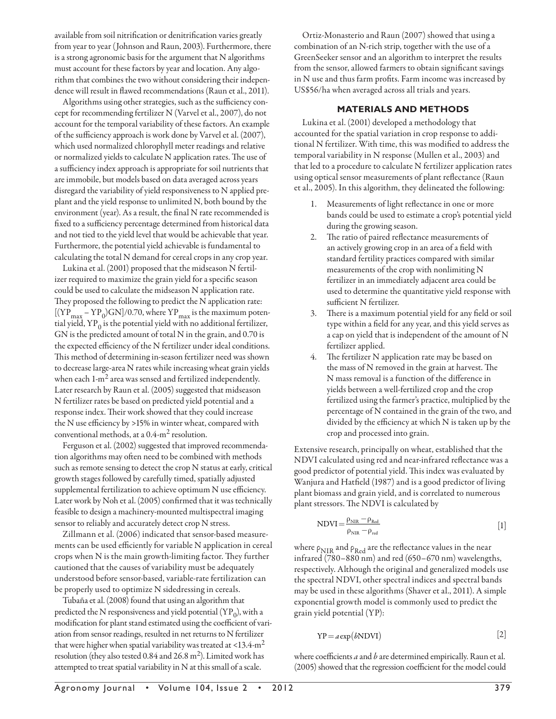available from soil nitrification or denitrification varies greatly from year to year (Johnson and Raun, 2003). Furthermore, there is a strong agronomic basis for the argument that N algorithms must account for these factors by year and location. Any algorithm that combines the two without considering their independence will result in flawed recommendations (Raun et al., 2011).

Algorithms using other strategies, such as the sufficiency concept for recommending fertilizer N (Varvel et al., 2007), do not account for the temporal variability of these factors. An example of the sufficiency approach is work done by Varvel et al. (2007), which used normalized chlorophyll meter readings and relative or normalized yields to calculate N application rates. The use of a sufficiency index approach is appropriate for soil nutrients that are immobile, but models based on data averaged across years disregard the variability of yield responsiveness to N applied preplant and the yield response to unlimited N, both bound by the environment (year). As a result, the final N rate recommended is fixed to a sufficiency percentage determined from historical data and not tied to the yield level that would be achievable that year. Furthermore, the potential yield achievable is fundamental to calculating the total N demand for cereal crops in any crop year.

Lukina et al. (2001) proposed that the midseason N fertilizer required to maximize the grain yield for a specific season could be used to calculate the midseason N application rate. They proposed the following to predict the N application rate:  $[(YP_{max} - YP_0)GN]/0.70$ , where  $YP_{max}$  is the maximum potential yield,  $YP_0$  is the potential yield with no additional fertilizer, GN is the predicted amount of total N in the grain, and 0.70 is the expected efficiency of the N fertilizer under ideal conditions. This method of determining in-season fertilizer need was shown to decrease large-area N rates while increasing wheat grain yields when each  $1-m^2$  area was sensed and fertilized independently. Later research by Raun et al. (2005) suggested that midseason N fertilizer rates be based on predicted yield potential and a response index. Their work showed that they could increase the N use efficiency by >15% in winter wheat, compared with conventional methods, at a 0.4-m2 resolution.

Ferguson et al. (2002) suggested that improved recommendation algorithms may often need to be combined with methods such as remote sensing to detect the crop N status at early, critical growth stages followed by carefully timed, spatially adjusted supplemental fertilization to achieve optimum N use efficiency. Later work by Noh et al. (2005) confirmed that it was technically feasible to design a machinery-mounted multispectral imaging sensor to reliably and accurately detect crop N stress.

Zillmann et al. (2006) indicated that sensor-based measurements can be used efficiently for variable N application in cereal crops when N is the main growth-limiting factor. They further cautioned that the causes of variability must be adequately understood before sensor-based, variable-rate fertilization can be properly used to optimize N sidedressing in cereals.

Tubaña et al. (2008) found that using an algorithm that predicted the N responsiveness and yield potential  $(\text{YP}_0)$ , with a modification for plant stand estimated using the coefficient of variation from sensor readings, resulted in net returns to N fertilizer that were higher when spatial variability was treated at  $\langle 13.4 \text{--} \text{m}^2$ resolution (they also tested 0.84 and 26.8 m<sup>2</sup>). Limited work has attempted to treat spatial variability in N at this small of a scale.

Ortiz-Monasterio and Raun (2007) showed that using a combination of an N-rich strip, together with the use of a GreenSeeker sensor and an algorithm to interpret the results from the sensor, allowed farmers to obtain significant savings in N use and thus farm profits. Farm income was increased by US\$56/ha when averaged across all trials and years.

## **MATERIALS AND METHODS**

Lukina et al. (2001) developed a methodology that accounted for the spatial variation in crop response to additional N fertilizer. With time, this was modified to address the temporal variability in N response (Mullen et al., 2003) and that led to a procedure to calculate N fertilizer application rates using optical sensor measurements of plant reflectance (Raun et al., 2005). In this algorithm, they delineated the following:

- 1. Measurements of light reflectance in one or more bands could be used to estimate a crop's potential yield during the growing season.
- 2. The ratio of paired reflectance measurements of an actively growing crop in an area of a field with standard fertility practices compared with similar measurements of the crop with nonlimiting N fertilizer in an immediately adjacent area could be used to determine the quantitative yield response with sufficient N fertilizer.
- 3. There is a maximum potential yield for any field or soil type within a field for any year, and this yield serves as a cap on yield that is independent of the amount of N fertilizer applied.
- The fertilizer N application rate may be based on the mass of N removed in the grain at harvest. The N mass removal is a function of the difference in yields between a well-fertilized crop and the crop fertilized using the farmer's practice, multiplied by the percentage of N contained in the grain of the two, and divided by the efficiency at which N is taken up by the crop and processed into grain.

Extensive research, principally on wheat, established that the NDVI calculated using red and near-infrared reflectance was a good predictor of potential yield. This index was evaluated by Wanjura and Hatfield (1987) and is a good predictor of living plant biomass and grain yield, and is correlated to numerous plant stressors. The NDVI is calculated by

$$
NDVI = \frac{\rho_{NIR} - \rho_{Red}}{\rho_{NIR} - \rho_{red}} \tag{1}
$$

where  $\rho_{\rm NIR}$  and  $\rho_{\rm Red}$  are the reflectance values in the near infrared (780–880 nm) and red (650–670 nm) wavelengths, respectively. Although the original and generalized models use the spectral NDVI, other spectral indices and spectral bands may be used in these algorithms (Shaver et al., 2011). A simple exponential growth model is commonly used to predict the grain yield potential (YP):

$$
YP = a \exp(bNDVI)
$$
 [2]

where coefficients *a* and *b* are determined empirically. Raun et al. (2005) showed that the regression coefficient for the model could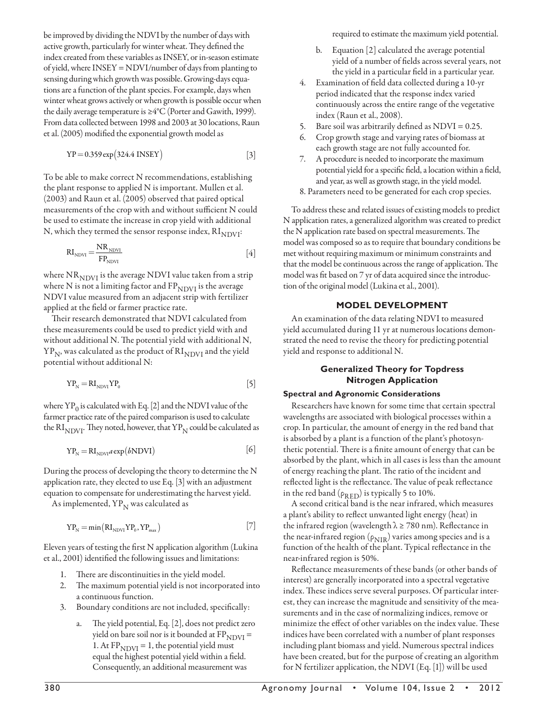be improved by dividing the NDVI by the number of days with active growth, particularly for winter wheat. They defined the index created from these variables as INSEY, or in-season estimate of yield, where INSEY = NDVI/number of days from planting to sensing during which growth was possible. Growing-days equations are a function of the plant species. For example, days when winter wheat grows actively or when growth is possible occur when the daily average temperature is  $\geq 4^{\circ}C$  (Porter and Gawith, 1999). From data collected between 1998 and 2003 at 30 locations, Raun et al. (2005) modified the exponential growth model as

$$
YP = 0.359 \exp(324.4 \text{ INSEY})
$$
 [3]

To be able to make correct N recommendations, establishing the plant response to applied N is important. Mullen et al. (2003) and Raun et al. (2005) observed that paired optical measurements of the crop with and without sufficient N could be used to estimate the increase in crop yield with additional N, which they termed the sensor response index,  $\mathrm{RI}_\mathrm{NDVI}$ :

$$
RI_{NDVI} = \frac{NR_{NDVI}}{FP_{NDVI}} \tag{4}
$$

where  ${\rm NR}_{\rm NDVI}$  is the average NDVI value taken from a strip where N is not a limiting factor and  $FP_{NDVI}$  is the average NDVI value measured from an adjacent strip with fertilizer applied at the field or farmer practice rate.

Their research demonstrated that NDVI calculated from these measurements could be used to predict yield with and without additional N. The potential yield with additional N,  $YP_N$ , was calculated as the product of  $RI_{NDVI}$  and the yield potential without additional N:

$$
YP_N = RI_{NDVI} YP_0 \tag{5}
$$

where  $YP_0$  is calculated with Eq. [2] and the NDVI value of the farmer practice rate of the paired comparison is used to calculate the RI<sub>NDVI</sub>. They noted, however, that  $YP_N$  could be calculated as

$$
YP_N = RI_{NDVI} a \exp(bNDVI)
$$
 [6]

During the process of developing the theory to determine the N application rate, they elected to use Eq. [3] with an adjustment equation to compensate for underestimating the harvest yield.

As implemented,  $YP_N$  was calculated as

$$
YP_N = \min(RI_{NDVI}YP_0, YP_{max})
$$
\n<sup>(7)</sup>

Eleven years of testing the first N application algorithm (Lukina et al., 2001) identified the following issues and limitations:

- 1. There are discontinuities in the yield model.
- 2. The maximum potential yield is not incorporated into a continuous function.
- 3. Boundary conditions are not included, specifically:
	- a. The yield potential, Eq. [2], does not predict zero yield on bare soil nor is it bounded at  $FP_{NDVI} =$ 1. At  $FP_{NDVI} = 1$ , the potential yield must equal the highest potential yield within a field. Consequently, an additional measurement was

required to estimate the maximum yield potential.

- b. Equation [2] calculated the average potential yield of a number of fields across several years, not the yield in a particular field in a particular year.
- 4. Examination of field data collected during a 10-yr period indicated that the response index varied continuously across the entire range of the vegetative index (Raun et al., 2008).
- 5. Bare soil was arbitrarily defined as  $NDVI = 0.25$ .
- 6. Crop growth stage and varying rates of biomass at each growth stage are not fully accounted for.
- 7. A procedure is needed to incorporate the maximum potential yield for a specific field, a location within a field, and year, as well as growth stage, in the yield model.
- 8. Parameters need to be generated for each crop species.

To address these and related issues of existing models to predict N application rates, a generalized algorithm was created to predict the N application rate based on spectral measurements. The model was composed so as to require that boundary conditions be met without requiring maximum or minimum constraints and that the model be continuous across the range of application. The model was fit based on 7 yr of data acquired since the introduction of the original model (Lukina et al., 2001).

## **MODEL DEVELOPMENT**

An examination of the data relating NDVI to measured yield accumulated during 11 yr at numerous locations demonstrated the need to revise the theory for predicting potential yield and response to additional N.

### **Generalized Theory for Topdress Nitrogen Application**

#### **Spectral and Agronomic Considerations**

Researchers have known for some time that certain spectral wavelengths are associated with biological processes within a crop. In particular, the amount of energy in the red band that is absorbed by a plant is a function of the plant's photosynthetic potential. There is a finite amount of energy that can be absorbed by the plant, which in all cases is less than the amount of energy reaching the plant. The ratio of the incident and reflected light is the reflectance. The value of peak reflectance in the red band ( $\rho_{\rm RED}$ ) is typically 5 to 10%.

A second critical band is the near infrared, which measures a plant's ability to reflect unwanted light energy (heat) in the infrared region (wavelength  $\lambda \ge 780$  nm). Reflectance in the near-infrared region ( $\rho_{\rm NIR}$ ) varies among species and is a function of the health of the plant. Typical reflectance in the near-infrared region is 50%.

Reflectance measurements of these bands (or other bands of interest) are generally incorporated into a spectral vegetative index. These indices serve several purposes. Of particular interest, they can increase the magnitude and sensitivity of the measurements and in the case of normalizing indices, remove or minimize the effect of other variables on the index value. These indices have been correlated with a number of plant responses including plant biomass and yield. Numerous spectral indices have been created, but for the purpose of creating an algorithm for N fertilizer application, the NDVI (Eq. [1]) will be used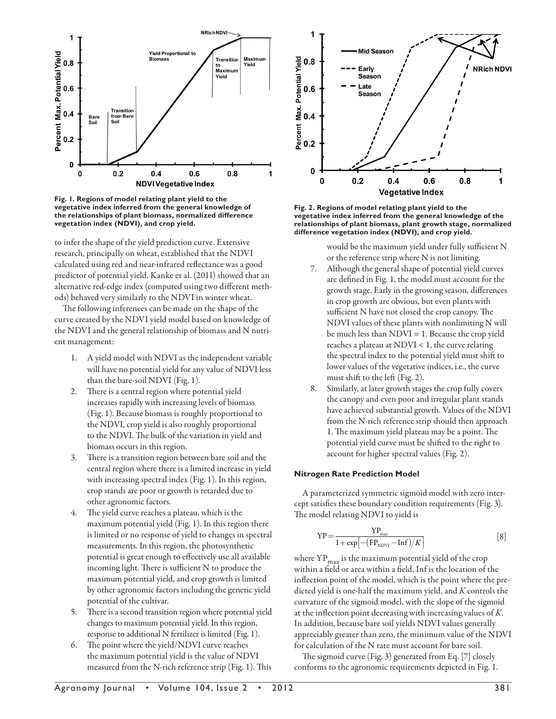

**Fig. 1. Regions of model relating plant yield to the vegetative index inferred from the general knowledge of the relationships of plant biomass, normalized difference vegetation index (NDVI), and crop yield.**

to infer the shape of the yield prediction curve. Extensive research, principally on wheat, established that the NDVI calculated using red and near-infrared reflectance was a good predictor of potential yield. Kanke et al. (2011) showed that an alternative red-edge index (computed using two different methods) behaved very similarly to the NDVI in winter wheat.

The following inferences can be made on the shape of the curve created by the NDVI yield model based on knowledge of the NDVI and the general relationship of biomass and N nutrient management:

- 1. A yield model with NDVI as the independent variable will have no potential yield for any value of NDVI less than the bare-soil NDVI (Fig. 1).
- 2. There is a central region where potential yield increases rapidly with increasing levels of biomass (Fig. 1). Because biomass is roughly proportional to the NDVI, crop yield is also roughly proportional to the NDVI. The bulk of the variation in yield and biomass occurs in this region.
- 3. There is a transition region between bare soil and the central region where there is a limited increase in yield with increasing spectral index (Fig. 1). In this region, crop stands are poor or growth is retarded due to other agronomic factors.
- 4. The yield curve reaches a plateau, which is the maximum potential yield (Fig. 1). In this region there is limited or no response of yield to changes in spectral measurements. In this region, the photosynthetic potential is great enough to effectively use all available incoming light. There is sufficient N to produce the maximum potential yield, and crop growth is limited by other agronomic factors including the genetic yield potential of the cultivar.
- 5. There is a second transition region where potential yield changes to maximum potential yield. In this region, response to additional N fertilizer is limited (Fig. 1).
- 6. The point where the yield/NDVI curve reaches the maximum potential yield is the value of NDVI measured from the N-rich reference strip (Fig. 1). This



**Fig. 2. Regions of model relating plant yield to the vegetative index inferred from the general knowledge of the relationships of plant biomass, plant growth stage, normalized difference vegetation index (NDVI), and crop yield.**

would be the maximum yield under fully sufficient N or the reference strip where N is not limiting.

- 7. Although the general shape of potential yield curves are defined in Fig. 1, the model must account for the growth stage. Early in the growing season, differences in crop growth are obvious, but even plants with sufficient N have not closed the crop canopy. The NDVI values of these plants with nonlimiting N will be much less than NDVI = 1. Because the crop yield reaches a plateau at NDVI < 1, the curve relating the spectral index to the potential yield must shift to lower values of the vegetative indices, i.e., the curve must shift to the left (Fig. 2).
- 8. Similarly, at later growth stages the crop fully covers the canopy and even poor and irregular plant stands have achieved substantial growth. Values of the NDVI from the N-rich reference strip should then approach 1. The maximum yield plateau may be a point. The potential yield curve must be shifted to the right to account for higher spectral values (Fig. 2).

#### **Nitrogen Rate Prediction Model**

A parameterized symmetric sigmoid model with zero intercept satisfies these boundary condition requirements (Fig. 3). The model relating NDVI to yield is

$$
\text{YP} = \frac{\text{YP}_{\text{max}}}{1 + \exp[-\left(\text{FP}_{\text{NDVI}} - \text{Inf}\right) / K]}\tag{8}
$$

where  $YP_{\text{max}}$  is the maximum potential yield of the crop within a field or area within a field, Inf is the location of the inflection point of the model, which is the point where the predicted yield is one-half the maximum yield, and *K* controls the curvature of the sigmoid model, with the slope of the sigmoid at the inflection point decreasing with increasing values of *K*. In addition, because bare soil yields NDVI values generally appreciably greater than zero, the minimum value of the NDVI for calculation of the N rate must account for bare soil.

The sigmoid curve (Fig. 3) generated from Eq. [7] closely conforms to the agronomic requirements depicted in Fig. 1.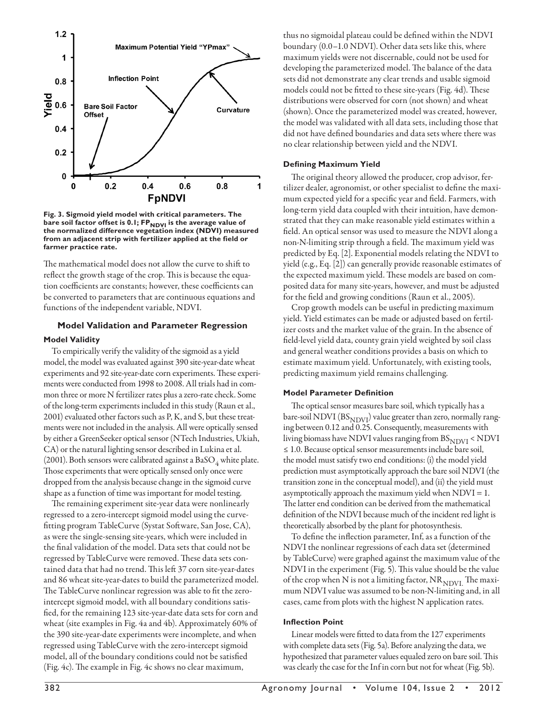

**Fig. 3. Sigmoid yield model with critical parameters. The**  bare soil factor offset is 0.1; FP<sub>NDVI</sub> is the average value of **the normalized difference vegetation index (NDVI) measured from an adjacent strip with fertilizer applied at the field or farmer practice rate.**

The mathematical model does not allow the curve to shift to reflect the growth stage of the crop. This is because the equation coefficients are constants; however, these coefficients can be converted to parameters that are continuous equations and functions of the independent variable, NDVI.

## **Model Validation and Parameter Regression Model Validity**

To empirically verify the validity of the sigmoid as a yield model, the model was evaluated against 390 site-year-date wheat experiments and 92 site-year-date corn experiments. These experiments were conducted from 1998 to 2008. All trials had in common three or more N fertilizer rates plus a zero-rate check. Some of the long-term experiments included in this study (Raun et al., 2001) evaluated other factors such as P, K, and S, but these treatments were not included in the analysis. All were optically sensed by either a GreenSeeker optical sensor (NTech Industries, Ukiah, CA) or the natural lighting sensor described in Lukina et al. (2001). Both sensors were calibrated against a  $\mathrm{BaSO}_4$  white plate. Those experiments that were optically sensed only once were dropped from the analysis because change in the sigmoid curve shape as a function of time was important for model testing.

The remaining experiment site-year data were nonlinearly regressed to a zero-intercept sigmoid model using the curvefitting program TableCurve (Systat Software, San Jose, CA), as were the single-sensing site-years, which were included in the final validation of the model. Data sets that could not be regressed by TableCurve were removed. These data sets contained data that had no trend. This left 37 corn site-year-dates and 86 wheat site-year-dates to build the parameterized model. The TableCurve nonlinear regression was able to fit the zerointercept sigmoid model, with all boundary conditions satisfied, for the remaining 123 site-year-date data sets for corn and wheat (site examples in Fig. 4a and 4b). Approximately 60% of the 390 site-year-date experiments were incomplete, and when regressed using TableCurve with the zero-intercept sigmoid model, all of the boundary conditions could not be satisfied (Fig. 4c). The example in Fig. 4c shows no clear maximum,

thus no sigmoidal plateau could be defined within the NDVI boundary (0.0–1.0 NDVI). Other data sets like this, where maximum yields were not discernable, could not be used for developing the parameterized model. The balance of the data sets did not demonstrate any clear trends and usable sigmoid models could not be fitted to these site-years (Fig. 4d). These distributions were observed for corn (not shown) and wheat (shown). Once the parameterized model was created, however, the model was validated with all data sets, including those that did not have defined boundaries and data sets where there was no clear relationship between yield and the NDVI.

## **Defining Maximum Yield**

The original theory allowed the producer, crop advisor, fertilizer dealer, agronomist, or other specialist to define the maximum expected yield for a specific year and field. Farmers, with long-term yield data coupled with their intuition, have demonstrated that they can make reasonable yield estimates within a field. An optical sensor was used to measure the NDVI along a non-N-limiting strip through a field. The maximum yield was predicted by Eq. [2]. Exponential models relating the NDVI to yield (e.g., Eq. [2]) can generally provide reasonable estimates of the expected maximum yield. These models are based on composited data for many site-years, however, and must be adjusted for the field and growing conditions (Raun et al., 2005).

Crop growth models can be useful in predicting maximum yield. Yield estimates can be made or adjusted based on fertilizer costs and the market value of the grain. In the absence of field-level yield data, county grain yield weighted by soil class and general weather conditions provides a basis on which to estimate maximum yield. Unfortunately, with existing tools, predicting maximum yield remains challenging.

#### **Model Parameter Definition**

The optical sensor measures bare soil, which typically has a bare-soil NDVI ( $BS<sub>NDVI</sub>$ ) value greater than zero, normally ranging between 0.12 and 0.25. Consequently, measurements with living biomass have NDVI values ranging from  $BS_{NDVI} < NDVI$ ≤ 1.0. Because optical sensor measurements include bare soil, the model must satisfy two end conditions: (i) the model yield prediction must asymptotically approach the bare soil NDVI (the transition zone in the conceptual model), and (ii) the yield must asymptotically approach the maximum yield when NDVI = 1. The latter end condition can be derived from the mathematical definition of the NDVI because much of the incident red light is theoretically absorbed by the plant for photosynthesis.

To define the inflection parameter, Inf, as a function of the NDVI the nonlinear regressions of each data set (determined by TableCurve) were graphed against the maximum value of the NDVI in the experiment (Fig. 5). This value should be the value of the crop when N is not a limiting factor,  $NR_{NDVL}$  The maximum NDVI value was assumed to be non-N-limiting and, in all cases, came from plots with the highest N application rates.

#### **Inflection Point**

Linear models were fitted to data from the 127 experiments with complete data sets (Fig. 5a). Before analyzing the data, we hypothesized that parameter values equaled zero on bare soil. This was clearly the case for the Inf in corn but not for wheat (Fig. 5b).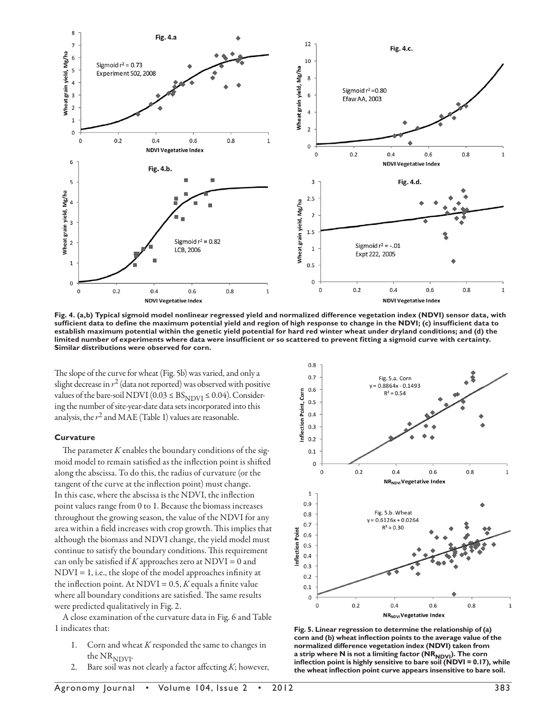

**Fig. 4. (a,b) Typical sigmoid model nonlinear regressed yield and normalized difference vegetation index (NDVI) sensor data, with sufficient data to define the maximum potential yield and region of high response to change in the NDVI; (c) insufficient data to establish maximum potential within the genetic yield potential for hard red winter wheat under dryland conditions; and (d) the limited number of experiments where data were insufficient or so scattered to prevent fitting a sigmoid curve with certainty. Similar distributions were observed for corn.**

The slope of the curve for wheat (Fig. 5b) was varied, and only a slight decrease in  $r^2$  (data not reported) was observed with positive values of the bare-soil NDVI (0.03  $\leq$  BS<sub>NDVI</sub>  $\leq$  0.04). Considering the number of site-year-date data sets incorporated into this analysis, the  $r^2$  and MAE (Table 1) values are reasonable.

#### **Curvature**

The parameter *K* enables the boundary conditions of the sigmoid model to remain satisfied as the inflection point is shifted along the abscissa. To do this, the radius of curvature (or the tangent of the curve at the inflection point) must change. In this case, where the abscissa is the NDVI, the inflection point values range from 0 to 1. Because the biomass increases throughout the growing season, the value of the NDVI for any area within a field increases with crop growth. This implies that although the biomass and NDVI change, the yield model must continue to satisfy the boundary conditions. This requirement can only be satisfied if  $K$  approaches zero at NDVI = 0 and NDVI = 1, i.e., the slope of the model approaches infinity at the inflection point. At NDVI =  $0.5$ , *K* equals a finite value where all boundary conditions are satisfied. The same results were predicted qualitatively in Fig. 2.

A close examination of the curvature data in Fig. 6 and Table 1 indicates that:

- 1. Corn and wheat *K* responded the same to changes in the  $NR_{NDVI}$ .
- 2. Bare soil was not clearly a factor affecting *K*; however,



**Fig. 5. Linear regression to determine the relationship of (a) corn and (b) wheat inflection points to the average value of the normalized difference vegetation index (NDVI) taken from**  a strip where N is not a limiting factor (NR<sub>NDVI</sub>). The corn<br>inflection point is highly sensitive to bare soil (NDVI = 0.17), while **the wheat inflection point curve appears insensitive to bare soil.**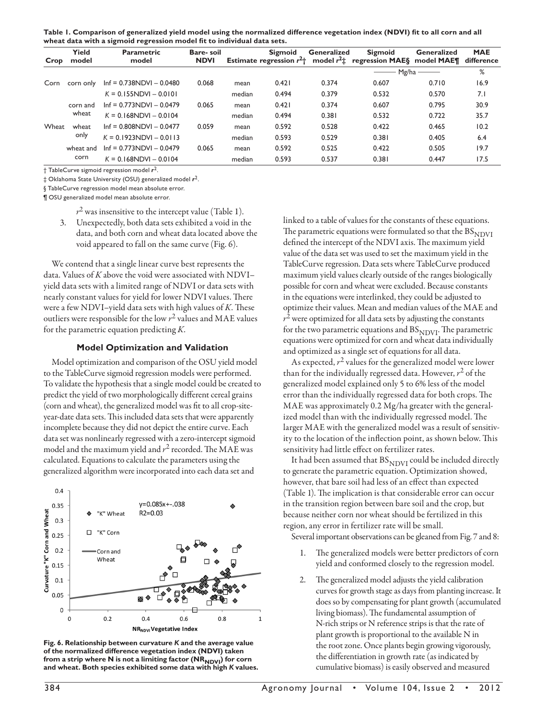| Table 1. Comparison of generalized yield model using the normalized difference vegetation index (NDVI) fit to all corn and all |
|--------------------------------------------------------------------------------------------------------------------------------|
| wheat data with a sigmoid regression model fit to individual data sets.                                                        |

| Crop  | Yield<br>model    | <b>Parametric</b><br>model | Bare-soil<br><b>NDVI</b> |        | <b>Sigmoid</b> | Generalized | <b>Sigmoid</b><br>Estimate regression $r^2$ model $r^2$ regression MAES model MAE¶ | Generalized | <b>MAE</b><br>difference |
|-------|-------------------|----------------------------|--------------------------|--------|----------------|-------------|------------------------------------------------------------------------------------|-------------|--------------------------|
|       |                   |                            |                          |        |                |             | Mg/ha                                                                              | %           |                          |
| Corn  | corn only         | $Inf = 0.738NDVI - 0.0480$ | 0.068                    | mean   | 0.421          | 0.374       | 0.607                                                                              | 0.710       | 16.9                     |
|       |                   | $K = 0.155NDVI - 0.010I$   |                          | median | 0.494          | 0.379       | 0.532                                                                              | 0.570       | 7.1                      |
|       | corn and<br>wheat | $Inf = 0.773NDVI - 0.0479$ | 0.065                    | mean   | 0.421          | 0.374       | 0.607                                                                              | 0.795       | 30.9                     |
|       |                   | $K = 0.168$ NDVI - 0.0104  |                          | median | 0.494          | 0.381       | 0.532                                                                              | 0.722       | 35.7                     |
| Wheat | wheat             | $Inf = 0.808NDVI - 0.0477$ | 0.059                    | mean   | 0.592          | 0.528       | 0.422                                                                              | 0.465       | 10.2                     |
|       | only              | $K = 0.1923NDVI - 0.0113$  |                          | median | 0.593          | 0.529       | 0.381                                                                              | 0.405       | 6.4                      |
|       | wheat and<br>corn | $Inf = 0.773NDVI - 0.0479$ | 0.065                    | mean   | 0.592          | 0.525       | 0.422                                                                              | 0.505       | 19.7                     |
|       |                   | $K = 0.168$ NDVI - 0.0104  |                          | median | 0.593          | 0.537       | 0.381                                                                              | 0.447       | 17.5                     |

† TableCurve sigmoid regression model *r*2.

‡ Oklahoma State University (OSU) generalized model *r*2.

§ TableCurve regression model mean absolute error.

¶ OSU generalized model mean absolute error.

 $r^2$  was insensitive to the intercept value (Table 1).

3. Unexpectedly, both data sets exhibited a void in the data, and both corn and wheat data located above the void appeared to fall on the same curve (Fig. 6).

We contend that a single linear curve best represents the data. Values of *K* above the void were associated with NDVI– yield data sets with a limited range of NDVI or data sets with nearly constant values for yield for lower NDVI values. There were a few NDVI–yield data sets with high values of *K*. These outliers were responsible for the low *r*2 values and MAE values for the parametric equation predicting *K*.

#### **Model Optimization and Validation**

Model optimization and comparison of the OSU yield model to the TableCurve sigmoid regression models were performed. To validate the hypothesis that a single model could be created to predict the yield of two morphologically different cereal grains (corn and wheat), the generalized model was fit to all crop-siteyear-date data sets. This included data sets that were apparently incomplete because they did not depict the entire curve. Each data set was nonlinearly regressed with a zero-intercept sigmoid model and the maximum yield and *r*2 recorded. The MAE was calculated. Equations to calculate the parameters using the generalized algorithm were incorporated into each data set and



**Fig. 6. Relationship between curvature** *K* **and the average value of the normalized difference vegetation index (NDVI) taken**  from a strip where N is not a limiting factor (NR<sub>NDVI</sub>) for corn **and wheat. Both species exhibited some data with high** *K* **values.**

linked to a table of values for the constants of these equations. The parametric equations were formulated so that the  $BS<sub>NDUI</sub>$ defined the intercept of the NDVI axis. The maximum yield value of the data set was used to set the maximum yield in the TableCurve regression. Data sets where TableCurve produced maximum yield values clearly outside of the ranges biologically possible for corn and wheat were excluded. Because constants in the equations were interlinked, they could be adjusted to optimize their values. Mean and median values of the MAE and  $r<sup>2</sup>$  were optimized for all data sets by adjusting the constants for the two parametric equations and  $BS_{NDVI}$ . The parametric equations were optimized for corn and wheat data individually and optimized as a single set of equations for all data.

As expected,  $r^2$  values for the generalized model were lower than for the individually regressed data. However,  $r^2$  of the generalized model explained only 5 to 6% less of the model error than the individually regressed data for both crops. The MAE was approximately 0.2 Mg/ha greater with the generalized model than with the individually regressed model. The larger MAE with the generalized model was a result of sensitivity to the location of the inflection point, as shown below. This sensitivity had little effect on fertilizer rates.

It had been assumed that  $BS_{NDVI}$  could be included directly to generate the parametric equation. Optimization showed, however, that bare soil had less of an effect than expected (Table 1). The implication is that considerable error can occur in the transition region between bare soil and the crop, but because neither corn nor wheat should be fertilized in this region, any error in fertilizer rate will be small.

Several important observations can be gleaned from Fig. 7 and 8:

- 1. The generalized models were better predictors of corn yield and conformed closely to the regression model.
- 2. The generalized model adjusts the yield calibration curves for growth stage as days from planting increase. It does so by compensating for plant growth (accumulated living biomass). The fundamental assumption of N-rich strips or N reference strips is that the rate of plant growth is proportional to the available N in the root zone. Once plants begin growing vigorously, the differentiation in growth rate (as indicated by cumulative biomass) is easily observed and measured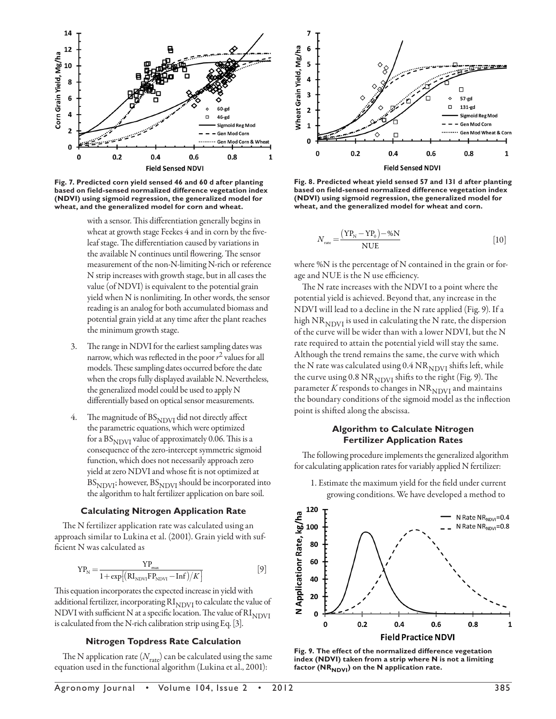

**Fig. 7. Predicted corn yield sensed 46 and 60 d after planting based on field-sensed normalized difference vegetation index (NDVI) using sigmoid regression, the generalized model for wheat, and the generalized model for corn and wheat.**

with a sensor. This differentiation generally begins in wheat at growth stage Feekes 4 and in corn by the fiveleaf stage. The differentiation caused by variations in the available N continues until flowering. The sensor measurement of the non-N-limiting N-rich or reference N strip increases with growth stage, but in all cases the value (of NDVI) is equivalent to the potential grain yield when N is nonlimiting. In other words, the sensor reading is an analog for both accumulated biomass and potential grain yield at any time after the plant reaches the minimum growth stage.

- 3. The range in NDVI for the earliest sampling dates was narrow, which was reflected in the poor  $r^2$  values for all models. These sampling dates occurred before the date when the crops fully displayed available N. Nevertheless, the generalized model could be used to apply N differentially based on optical sensor measurements.
- 4. The magnitude of  $BS_{NDVI}$  did not directly affect the parametric equations, which were optimized for a  $BS<sub>NDVI</sub>$  value of approximately 0.06. This is a consequence of the zero-intercept symmetric sigmoid function, which does not necessarily approach zero yield at zero NDVI and whose fit is not optimized at  $BS_{\rm NDVI}$ ; however,  $BS_{\rm NDVI}$  should be incorporated into the algorithm to halt fertilizer application on bare soil.

## **Calculating Nitrogen Application Rate**

The N fertilizer application rate was calculated using an approach similar to Lukina et al. (2001). Grain yield with sufficient N was calculated as

$$
YP_N = \frac{YP_{\text{max}}}{1 + \exp[(RI_{NDVI} - Inf)/K]}
$$
 [9]

This equation incorporates the expected increase in yield with additional fertilizer, incorporating  $\mathrm{RI}_{\mathrm{NDVI}}$  to calculate the value of NDVI with sufficient N at a specific location. The value of  $\mathrm{RI}_\mathrm{NDVI}$ is calculated from the N-rich calibration strip using Eq. [3].

#### **Nitrogen Topdress Rate Calculation**

The N application rate  $(N_{\rm rate})$  can be calculated using the same equation used in the functional algorithm (Lukina et al., 2001):



**Fig. 8. Predicted wheat yield sensed 57 and 131 d after planting based on field-sensed normalized difference vegetation index (NDVI) using sigmoid regression, the generalized model for wheat, and the generalized model for wheat and corn.**

$$
N_{\text{rate}} = \frac{(YP_{\text{N}} - YP_{0}) - \%N}{NUE}
$$
 [10]

where %N is the percentage of N contained in the grain or forage and NUE is the N use efficiency.

The N rate increases with the NDVI to a point where the potential yield is achieved. Beyond that, any increase in the NDVI will lead to a decline in the N rate applied (Fig. 9). If a high  $NR_{NDVI}$  is used in calculating the N rate, the dispersion of the curve will be wider than with a lower NDVI, but the N rate required to attain the potential yield will stay the same. Although the trend remains the same, the curve with which the N rate was calculated using  $0.4 \text{ NR}_{\text{NDVI}}$  shifts left, while the curve using  $0.8 \text{ NR}_{\text{NDVI}}$  shifts to the right (Fig. 9). The parameter  $K$  responds to changes in  $\mathrm{NR}_{\mathrm{NDVI}}$  and maintains the boundary conditions of the sigmoid model as the inflection point is shifted along the abscissa.

## **Algorithm to Calculate Nitrogen Fertilizer Application Rates**

The following procedure implements the generalized algorithm for calculating application rates for variably applied N fertilizer:





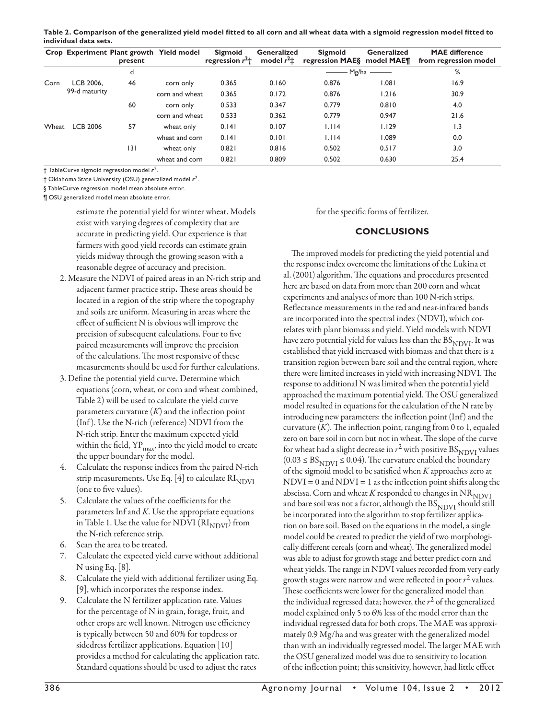**Table 2. Comparison of the generalized yield model fitted to all corn and all wheat data with a sigmoid regression model fitted to individual data sets.**

|       |                            | present | Crop Experiment Plant growth Yield model | <b>Sigmoid</b><br>regression $r^2$ <sup>+</sup> | Generalized<br>model $r^2$ $\pm$ | <b>Sigmoid</b><br>regression MAES | Generalized<br>model MAE¶ | <b>MAE</b> difference<br>from regression model |
|-------|----------------------------|---------|------------------------------------------|-------------------------------------------------|----------------------------------|-----------------------------------|---------------------------|------------------------------------------------|
|       |                            | d       |                                          |                                                 |                                  | Mg/ha                             |                           | %                                              |
| Corn  | LCB 2006.<br>99-d maturity | 46      | corn only                                | 0.365                                           | 0.160                            | 0.876                             | 180.1                     | 16.9                                           |
|       |                            |         | corn and wheat                           | 0.365                                           | 0.172                            | 0.876                             | 1.216                     | 30.9                                           |
|       |                            | 60      | corn only                                | 0.533                                           | 0.347                            | 0.779                             | 0.810                     | 4.0                                            |
|       |                            |         | corn and wheat                           | 0.533                                           | 0.362                            | 0.779                             | 0.947                     | 21.6                                           |
| Wheat | <b>LCB 2006</b>            | 57      | wheat only                               | 0.141                                           | 0.107                            | 1.114                             | 1.129                     | 1.3                                            |
|       |                            |         | wheat and corn                           | 0.141                                           | 0.101                            | 1.114                             | 1.089                     | 0.0                                            |
|       |                            | 3       | wheat only                               | 0.821                                           | 0.816                            | 0.502                             | 0.517                     | 3.0                                            |
|       |                            |         | wheat and corn                           | 0.821                                           | 0.809                            | 0.502                             | 0.630                     | 25.4                                           |

† TableCurve sigmoid regression model *r*2.

‡ Oklahoma State University (OSU) generalized model *r*2.

§ TableCurve regression model mean absolute error.

¶ OSU generalized model mean absolute error.

estimate the potential yield for winter wheat. Models exist with varying degrees of complexity that are accurate in predicting yield. Our experience is that farmers with good yield records can estimate grain yields midway through the growing season with a reasonable degree of accuracy and precision.

- 2. Measure the NDVI of paired areas in an N-rich strip and adjacent farmer practice strip. These areas should be located in a region of the strip where the topography and soils are uniform. Measuring in areas where the effect of sufficient N is obvious will improve the precision of subsequent calculations. Four to five paired measurements will improve the precision of the calculations. The most responsive of these measurements should be used for further calculations.
- 3. Define the potential yield curve. Determine which equations (corn, wheat, or corn and wheat combined, Table 2) will be used to calculate the yield curve parameters curvature  $(K)$  and the inflection point (Inf ). Use the N-rich (reference) NDVI from the N-rich strip. Enter the maximum expected yield within the field,  $YP_{\text{max}}$ , into the yield model to create the upper boundary for the model.
- 4. Calculate the response indices from the paired N-rich strip measurements. Use Eq. [4] to calculate  $\mathrm{RI}_\mathrm{NDVI}$ (one to five values).
- 5. Calculate the values of the coefficients for the parameters Inf and *K*. Use the appropriate equations in Table 1. Use the value for NDVI  $\rm (RI_{NDVI})$  from the N-rich reference strip.
- 6. Scan the area to be treated.
- 7. Calculate the expected yield curve without additional N using Eq. [8].
- 8. Calculate the yield with additional fertilizer using Eq. [9], which incorporates the response index.
- 9. Calculate the N fertilizer application rate. Values for the percentage of N in grain, forage, fruit, and other crops are well known. Nitrogen use efficiency is typically between 50 and 60% for topdress or sidedress fertilizer applications. Equation [10] provides a method for calculating the application rate. Standard equations should be used to adjust the rates

for the specific forms of fertilizer.

## **CONCLUSIONS**

The improved models for predicting the yield potential and the response index overcome the limitations of the Lukina et al. (2001) algorithm. The equations and procedures presented here are based on data from more than 200 corn and wheat experiments and analyses of more than 100 N-rich strips. Reflectance measurements in the red and near-infrared bands are incorporated into the spectral index (NDVI), which correlates with plant biomass and yield. Yield models with NDVI have zero potential yield for values less than the  $BS_{NDVI}$ . It was established that yield increased with biomass and that there is a transition region between bare soil and the central region, where there were limited increases in yield with increasing NDVI. The response to additional N was limited when the potential yield approached the maximum potential yield. The OSU generalized model resulted in equations for the calculation of the N rate by introducing new parameters: the inflection point (Inf) and the curvature  $(K)$ . The inflection point, ranging from 0 to 1, equaled zero on bare soil in corn but not in wheat. The slope of the curve for wheat had a slight decrease in  $r^2$  with positive  $BS_{NDVI}$  values  $(0.03 \leq BS_{\text{NDVI}} \leq 0.04)$ . The curvature enabled the boundary of the sigmoid model to be satisfied when *K* approaches zero at  $NDVI = 0$  and  $NDVI = 1$  as the inflection point shifts along the abscissa. Corn and wheat  $K$  responded to changes in  $\rm NR_{\rm NDVI}$ and bare soil was not a factor, although the  $BS_{NDVI}$  should still be incorporated into the algorithm to stop fertilizer application on bare soil. Based on the equations in the model, a single model could be created to predict the yield of two morphologically different cereals (corn and wheat). The generalized model was able to adjust for growth stage and better predict corn and wheat yields. The range in NDVI values recorded from very early growth stages were narrow and were reflected in poor *r*2 values. These coefficients were lower for the generalized model than the individual regressed data; however, the *r*2 of the generalized model explained only 5 to 6% less of the model error than the individual regressed data for both crops. The MAE was approximately 0.9 Mg/ha and was greater with the generalized model than with an individually regressed model. The larger MAE with the OSU generalized model was due to sensitivity to location of the inflection point; this sensitivity, however, had little effect